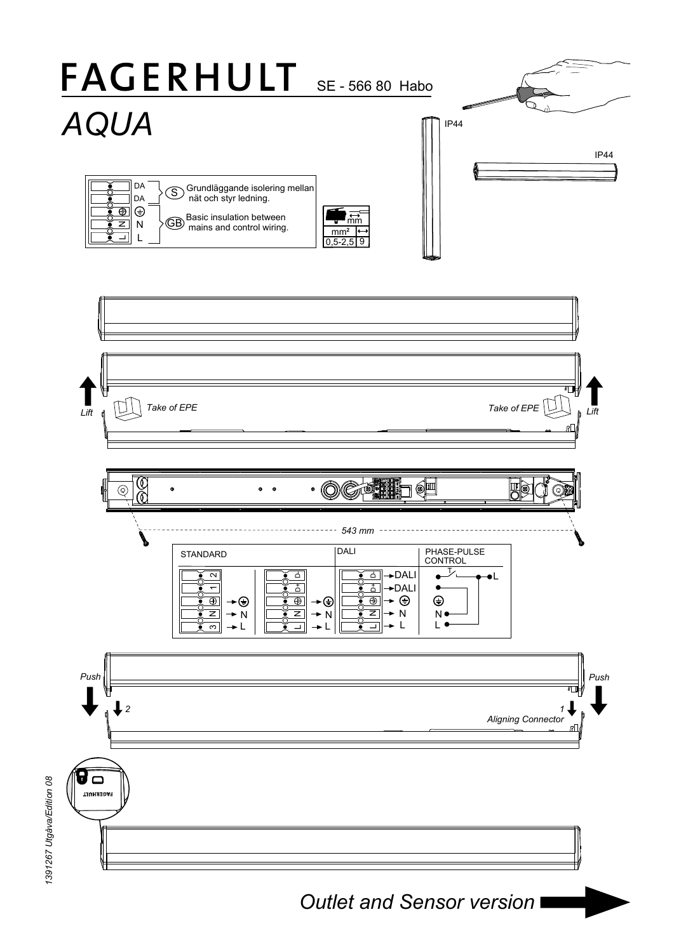

*Outlet and Sensor version*